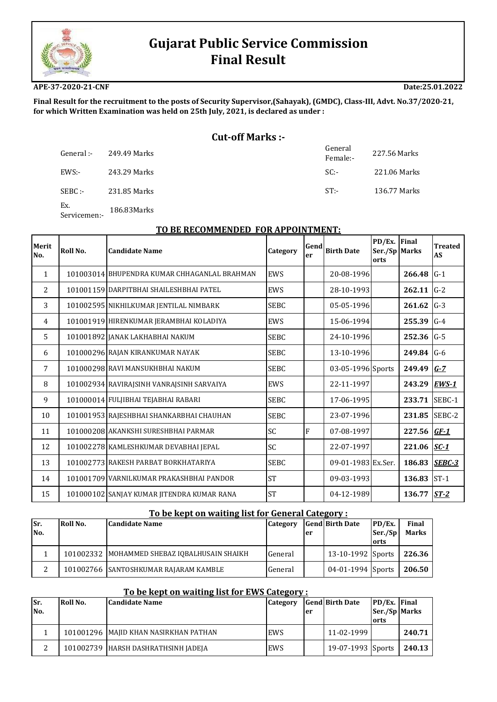

# **Gujarat Public Service Commission Final Result**

**APE-37-2020-21-CNF**

**Date:25.01.2022**

**Final Result for the recruitment to the posts of Security Supervisor,(Sahayak), (GMDC), Class‐III, Advt. No.37/2020‐21, for which Written Examination was held on 25th July, 2021, is declared as under :**

# **Cut‐off Marks :‐**

| -: General | 249.49 Marks | General<br>Female:- | 227.56 Marks |
|------------|--------------|---------------------|--------------|
| EWS:-      | 243.29 Marks | SC:                 | 221.06 Marks |
| SEBC :-    | 231.85 Marks | $ST$ :-             | 136.77 Marks |

Ex. Ex.<br>Servicemen:- 186.83Marks

## **TO BE RECOMMENDED FOR APPOINTMENT:**

| <b>Merit</b><br>No. | Roll No. | <b>Candidate Name</b>                        | Category    | Gend<br>er | <b>Birth Date</b>  | PD/Ex. Final<br>Ser./Sp Marks<br>orts |               | <b>Treated</b><br><b>AS</b> |
|---------------------|----------|----------------------------------------------|-------------|------------|--------------------|---------------------------------------|---------------|-----------------------------|
| $\mathbf{1}$        |          | 101003014 BHUPENDRA KUMAR CHHAGANLAL BRAHMAN | EWS         |            | 20-08-1996         |                                       | 266.48        | $G-1$                       |
| 2                   |          | 101001159 DARPITBHAI SHAILESHBHAI PATEL      | EWS         |            | 28-10-1993         |                                       | 262.11        | $G-2$                       |
| 3                   |          | 101002595 NIKHILKUMAR JENTILAL NIMBARK       | <b>SEBC</b> |            | 05-05-1996         |                                       | 261.62        | $G-3$                       |
| $\overline{4}$      |          | 101001919 HIRENKUMAR JERAMBHAI KOLADIYA      | EWS         |            | 15-06-1994         |                                       | 255.39        | $G-4$                       |
| 5                   |          | 101001892 JANAK LAKHABHAI NAKUM              | <b>SEBC</b> |            | 24-10-1996         |                                       | 252.36        | $G-5$                       |
| 6                   |          | 101000296 RAJAN KIRANKUMAR NAYAK             | <b>SEBC</b> |            | 13-10-1996         |                                       | 249.84        | $G-6$                       |
| 7                   |          | 101000298 RAVI MANSUKHBHAI NAKUM             | <b>SEBC</b> |            | 03-05-1996 Sports  |                                       | 249.49        | $G-7$                       |
| 8                   |          | 101002934 RAVIRAISINH VANRAISINH SARVAIYA    | EWS         |            | 22-11-1997         |                                       | 243.29        | <b>EWS-1</b>                |
| 9                   |          | 101000014 FULJIBHAI TEJABHAI RABARI          | <b>SEBC</b> |            | 17-06-1995         |                                       | 233.71        | SEBC-1                      |
| 10                  |          | 101001953 RAJESHBHAI SHANKARBHAI CHAUHAN     | <b>SEBC</b> |            | 23-07-1996         |                                       | 231.85        | SEBC-2                      |
| 11                  |          | 101000208 AKANKSHI SURESHBHAI PARMAR         | SC          | F          | 07-08-1997         |                                       | 227.56        | $GF-1$                      |
| 12                  |          | 101002278 KAMLESHKUMAR DEVABHAI JEPAL        | SC          |            | 22-07-1997         |                                       | 221.06 $SC-1$ |                             |
| 13                  |          | 101002773 RAKESH PARBAT BORKHATARIYA         | <b>SEBC</b> |            | 09-01-1983 Ex.Ser. |                                       | 186.83        | SEBC-3                      |
| 14                  |          | 101001709 VARNILKUMAR PRAKASHBHAI PANDOR     | <b>ST</b>   |            | 09-03-1993         |                                       | 136.83        | $ST-1$                      |
| 15                  |          | 101000102 SANJAY KUMAR JITENDRA KUMAR RANA   | <b>ST</b>   |            | 04-12-1989         |                                       | 136.77        | $ST-2$                      |

|        | To be kept on waiting list for General Category:                                           |                                                |         |    |                     |         |              |  |  |  |
|--------|--------------------------------------------------------------------------------------------|------------------------------------------------|---------|----|---------------------|---------|--------------|--|--|--|
| Sr.    | <b>Gend Birth Date</b><br>Roll No.<br>PD/Ex.<br>Final<br><b>Candidate Name</b><br>Category |                                                |         |    |                     |         |              |  |  |  |
| No.    |                                                                                            |                                                |         | er |                     | Ser./Sp | <b>Marks</b> |  |  |  |
|        |                                                                                            |                                                |         |    |                     | lorts   |              |  |  |  |
|        |                                                                                            | 101002332   MOHAMMED SHEBAZ IOBALHUSAIN SHAIKH | General |    | 13-10-1992 Sports   |         | 226.36       |  |  |  |
| っ<br>∠ |                                                                                            | 101002766 SANTOSHKUMAR RAJARAM KAMBLE          | General |    | $04-01-1994$ Sports |         | 206.50       |  |  |  |

### **To be kept on waiting list for EWS Category :**

| Sr. | Roll No. | <b>Candidate Name</b>                   | Category |     | <b>Gend Birth Date</b> | <b>PD/Ex.</b> Final |        |
|-----|----------|-----------------------------------------|----------|-----|------------------------|---------------------|--------|
| No. |          |                                         |          | 'er |                        | Ser./Sp Marks       |        |
|     |          |                                         |          |     |                        | <b>lorts</b>        |        |
|     |          | 101001296   MAJID KHAN NASIRKHAN PATHAN | EWS      |     | 11-02-1999             |                     | 240.71 |
|     |          | 101002739 HARSH DASHRATHSINH JADEJA     | EWS      |     | 19-07-1993 Sports      |                     | 240.13 |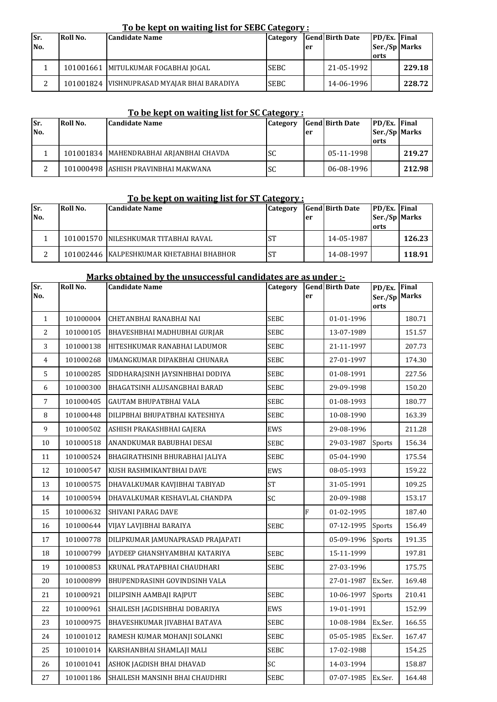# **To be kept on waiting list for SEBC Category :**

| Sr.<br>No. | Roll No. | <b>Candidate Name</b>                         | Category    | er | <b>Gend Birth Date</b> | PD/Ex. Final<br>Ser./Sp Marks<br>orts |        |
|------------|----------|-----------------------------------------------|-------------|----|------------------------|---------------------------------------|--------|
|            |          | 101001661   MITULKUMAR FOGABHAI JOGAL         | <b>SEBC</b> |    | 21-05-1992             |                                       | 229.18 |
| ົ          |          | 101001824   VISHNUPRASAD MYAJAR BHAI BARADIYA | <b>SEBC</b> |    | 14-06-1996             |                                       | 228.72 |

# **To be kept on waiting list for SC Category :**

| Sr. | Roll No. | <b>Candidate Name</b>                     | Category |    | <b>Gend Birth Date</b> | <b>PD/Ex.</b> Final |        |
|-----|----------|-------------------------------------------|----------|----|------------------------|---------------------|--------|
| No. |          |                                           |          | er |                        | Ser./Sp Marks       |        |
|     |          |                                           |          |    |                        | orts                |        |
|     |          | 101001834   MAHENDRABHAI ARJANBHAI CHAVDA | lsc      |    | 05-11-1998             |                     | 219.27 |
|     |          | 101000498 ASHISH PRAVINBHAI MAKWANA       | lsc      |    | 06-08-1996             |                     | 212.98 |

# **To be kept on waiting list for ST Category :**

| Sr. | Roll No. | <b>Candidate Name</b>                    | Category  |    | <b>Gend Birth Date</b> | <b>PD/Ex.</b> Final |        |
|-----|----------|------------------------------------------|-----------|----|------------------------|---------------------|--------|
| No. |          |                                          |           | er |                        | Ser./Sp Marks       |        |
|     |          |                                          |           |    |                        | orts                |        |
|     |          | 101001570 INILESHKUMAR TITABHAI RAVAL    | <b>ST</b> |    | 14-05-1987             |                     | 126.23 |
|     |          | 101002446 KALPESHKUMAR KHETABHAI BHABHOR | <b>ST</b> |    | 14-08-1997             |                     | 118.91 |

#### **Marks obtained by the unsuccessful candidates are as under :-**

| Sr.<br>No.   | Roll No.  | <b>Candidate Name</b>             | Category    | er | <b>Gend Birth Date</b> | PD/Ex.<br>Ser./Sp<br>orts | Final<br><b>Marks</b> |
|--------------|-----------|-----------------------------------|-------------|----|------------------------|---------------------------|-----------------------|
| $\mathbf{1}$ | 101000004 | CHETANBHAI RANABHAI NAI           | <b>SEBC</b> |    | 01-01-1996             |                           | 180.71                |
| 2            | 101000105 | BHAVESHBHAI MADHUBHAI GURJAR      | <b>SEBC</b> |    | 13-07-1989             |                           | 151.57                |
| 3            | 101000138 | HITESHKUMAR RANABHAI LADUMOR      | <b>SEBC</b> |    | 21-11-1997             |                           | 207.73                |
| 4            | 101000268 | UMANGKUMAR DIPAKBHAI CHUNARA      | <b>SEBC</b> |    | 27-01-1997             |                           | 174.30                |
| 5            | 101000285 | SIDDHARAJSINH JAYSINHBHAI DODIYA  | <b>SEBC</b> |    | 01-08-1991             |                           | 227.56                |
| 6            | 101000300 | BHAGATSINH ALUSANGBHAI BARAD      | SEBC        |    | 29-09-1998             |                           | 150.20                |
| 7            | 101000405 | <b>GAUTAM BHUPATBHAI VALA</b>     | <b>SEBC</b> |    | 01-08-1993             |                           | 180.77                |
| 8            | 101000448 | DILIPBHAI BHUPATBHAI KATESHIYA    | SEBC        |    | 10-08-1990             |                           | 163.39                |
| 9            | 101000502 | ASHISH PRAKASHBHAI GAJERA         | EWS         |    | 29-08-1996             |                           | 211.28                |
| 10           | 101000518 | ANANDKUMAR BABUBHAI DESAI         | SEBC        |    | 29-03-1987             | Sports                    | 156.34                |
| 11           | 101000524 | BHAGIRATHSINH BHURABHAI JALIYA    | <b>SEBC</b> |    | 05-04-1990             |                           | 175.54                |
| 12           | 101000547 | KUSH RASHMIKANTBHAI DAVE          | EWS         |    | 08-05-1993             |                           | 159.22                |
| 13           | 101000575 | DHAVALKUMAR KAVJIBHAI TABIYAD     | <b>ST</b>   |    | 31-05-1991             |                           | 109.25                |
| 14           | 101000594 | DHAVALKUMAR KESHAVLAL CHANDPA     | SC          |    | 20-09-1988             |                           | 153.17                |
| 15           | 101000632 | SHIVANI PARAG DAVE                |             | F  | 01-02-1995             |                           | 187.40                |
| 16           | 101000644 | VIJAY LAVJIBHAI BARAIYA           | <b>SEBC</b> |    | 07-12-1995             | Sports                    | 156.49                |
| 17           | 101000778 | DILIPKUMAR JAMUNAPRASAD PRAJAPATI |             |    | 05-09-1996             | Sports                    | 191.35                |
| 18           | 101000799 | JAYDEEP GHANSHYAMBHAI KATARIYA    | <b>SEBC</b> |    | 15-11-1999             |                           | 197.81                |
| 19           | 101000853 | KRUNAL PRATAPBHAI CHAUDHARI       | <b>SEBC</b> |    | 27-03-1996             |                           | 175.75                |
| 20           | 101000899 | BHUPENDRASINH GOVINDSINH VALA     |             |    | 27-01-1987             | Ex.Ser.                   | 169.48                |
| 21           | 101000921 | DILIPSINH AAMBAJI RAJPUT          | <b>SEBC</b> |    | 10-06-1997             | Sports                    | 210.41                |
| 22           | 101000961 | SHAILESH JAGDISHBHAI DOBARIYA     | EWS         |    | 19-01-1991             |                           | 152.99                |
| 23           | 101000975 | BHAVESHKUMAR JIVABHAI BATAVA      | <b>SEBC</b> |    | 10-08-1984             | Ex.Ser.                   | 166.55                |
| 24           | 101001012 | RAMESH KUMAR MOHANJI SOLANKI      | SEBC        |    | 05-05-1985             | Ex.Ser.                   | 167.47                |
| 25           | 101001014 | KARSHANBHAI SHAMLAJI MALI         | <b>SEBC</b> |    | 17-02-1988             |                           | 154.25                |
| 26           | 101001041 | ASHOK JAGDISH BHAI DHAVAD         | SC          |    | 14-03-1994             |                           | 158.87                |
| 27           | 101001186 | SHAILESH MANSINH BHAI CHAUDHRI    | <b>SEBC</b> |    | 07-07-1985             | Ex.Ser.                   | 164.48                |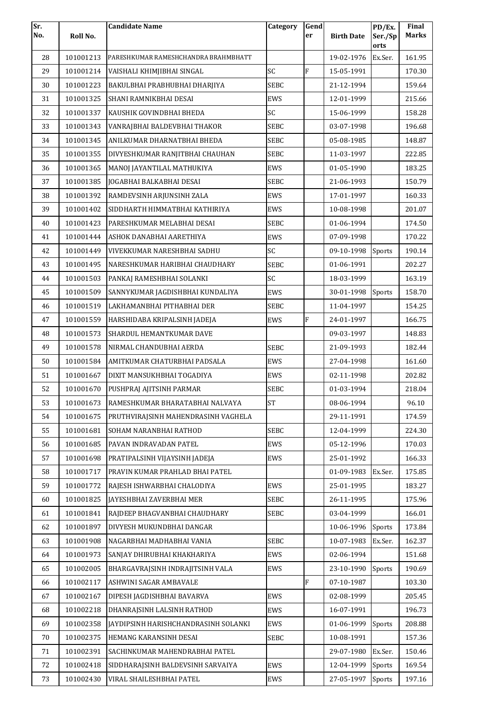| Sr. |           | <b>Candidate Name</b>                | Category    | Gend |                   | PD/Ex.          | Final        |
|-----|-----------|--------------------------------------|-------------|------|-------------------|-----------------|--------------|
| No. | Roll No.  |                                      |             | er   | <b>Birth Date</b> | Ser./Sp<br>orts | <b>Marks</b> |
| 28  | 101001213 | PARESHKUMAR RAMESHCHANDRA BRAHMBHATT |             |      | 19-02-1976        | Ex.Ser.         | 161.95       |
| 29  | 101001214 | VAISHALI KHIMJIBHAI SINGAL           | SC          | F    | 15-05-1991        |                 | 170.30       |
| 30  | 101001223 | BAKULBHAI PRABHUBHAI DHARJIYA        | <b>SEBC</b> |      | 21-12-1994        |                 | 159.64       |
| 31  | 101001325 | SHANI RAMNIKBHAI DESAI               | EWS         |      | 12-01-1999        |                 | 215.66       |
| 32  | 101001337 | KAUSHIK GOVINDBHAI BHEDA             | SC          |      | 15-06-1999        |                 | 158.28       |
| 33  | 101001343 | VANRAJBHAI BALDEVBHAI THAKOR         | SEBC        |      | 03-07-1998        |                 | 196.68       |
| 34  | 101001345 | ANILKUMAR DHARNATBHAI BHEDA          | <b>SEBC</b> |      | 05-08-1985        |                 | 148.87       |
| 35  | 101001355 | DIVYESHKUMAR RANJITBHAI CHAUHAN      | <b>SEBC</b> |      | 11-03-1997        |                 | 222.85       |
| 36  | 101001365 | MANOJ JAYANTILAL MATHUKIYA           | EWS         |      | 01-05-1990        |                 | 183.25       |
| 37  | 101001385 | JOGABHAI BALKABHAI DESAI             | <b>SEBC</b> |      | 21-06-1993        |                 | 150.79       |
| 38  | 101001392 | RAMDEVSINH ARJUNSINH ZALA            | EWS         |      | 17-01-1997        |                 | 160.33       |
| 39  | 101001402 | SIDDHARTH HIMMATBHAI KATHIRIYA       | EWS         |      | 10-08-1998        |                 | 201.07       |
| 40  | 101001423 | PARESHKUMAR MELABHAI DESAI           | <b>SEBC</b> |      | 01-06-1994        |                 | 174.50       |
| 41  | 101001444 | ASHOK DANABHAI AARETHIYA             | EWS         |      | 07-09-1998        |                 | 170.22       |
| 42  | 101001449 | VIVEKKUMAR NARESHBHAI SADHU          | SC          |      | 09-10-1998        | Sports          | 190.14       |
| 43  | 101001495 | NARESHKUMAR HARIBHAI CHAUDHARY       | <b>SEBC</b> |      | 01-06-1991        |                 | 202.27       |
| 44  | 101001503 | PANKAJ RAMESHBHAI SOLANKI            | SC          |      | 18-03-1999        |                 | 163.19       |
| 45  | 101001509 | SANNYKUMAR JAGDISHBHAI KUNDALIYA     | EWS         |      | 30-01-1998        | Sports          | 158.70       |
| 46  | 101001519 | LAKHAMANBHAI PITHABHAI DER           | SEBC        |      | 11-04-1997        |                 | 154.25       |
| 47  | 101001559 | HARSHIDABA KRIPALSINH JADEJA         | EWS         | F    | 24-01-1997        |                 | 166.75       |
| 48  | 101001573 | SHARDUL HEMANTKUMAR DAVE             |             |      | 09-03-1997        |                 | 148.83       |
| 49  | 101001578 | NIRMAL CHANDUBHAI AERDA              | <b>SEBC</b> |      | 21-09-1993        |                 | 182.44       |
| 50  | 101001584 | AMITKUMAR CHATURBHAI PADSALA         | EWS         |      | 27-04-1998        |                 | 161.60       |
| 51  | 101001667 | DIXIT MANSUKHBHAI TOGADIYA           | EWS         |      | 02-11-1998        |                 | 202.82       |
| 52  | 101001670 | PUSHPRAJ AJITSINH PARMAR             | <b>SEBC</b> |      | 01-03-1994        |                 | 218.04       |
| 53  | 101001673 | RAMESHKUMAR BHARATABHAI NALVAYA      | <b>ST</b>   |      | 08-06-1994        |                 | 96.10        |
| 54  | 101001675 | PRUTHVIRAJSINH MAHENDRASINH VAGHELA  |             |      | 29-11-1991        |                 | 174.59       |
| 55  | 101001681 | SOHAM NARANBHAI RATHOD               | <b>SEBC</b> |      | 12-04-1999        |                 | 224.30       |
| 56  | 101001685 | PAVAN INDRAVADAN PATEL               | EWS         |      | 05-12-1996        |                 | 170.03       |
| 57  | 101001698 | PRATIPALSINH VIJAYSINH JADEJA        | EWS         |      | 25-01-1992        |                 | 166.33       |
| 58  | 101001717 | PRAVIN KUMAR PRAHLAD BHAI PATEL      |             |      | 01-09-1983        | Ex.Ser.         | 175.85       |
| 59  | 101001772 | RAJESH ISHWARBHAI CHALODIYA          | EWS         |      | 25-01-1995        |                 | 183.27       |
| 60  | 101001825 | JAYESHBHAI ZAVERBHAI MER             | <b>SEBC</b> |      | 26-11-1995        |                 | 175.96       |
| 61  | 101001841 | RAJDEEP BHAGVANBHAI CHAUDHARY        | <b>SEBC</b> |      | 03-04-1999        |                 | 166.01       |
| 62  | 101001897 | DIVYESH MUKUNDBHAI DANGAR            |             |      | 10-06-1996        | Sports          | 173.84       |
| 63  | 101001908 | NAGARBHAI MADHABHAI VANIA            | <b>SEBC</b> |      | 10-07-1983        | Ex.Ser.         | 162.37       |
| 64  | 101001973 | SANJAY DHIRUBHAI KHAKHARIYA          | EWS         |      | 02-06-1994        |                 | 151.68       |
| 65  | 101002005 | BHARGAVRAJSINH INDRAJITSINH VALA     | EWS         |      | 23-10-1990        | Sports          | 190.69       |
| 66  | 101002117 | ASHWINI SAGAR AMBAVALE               |             | F    | 07-10-1987        |                 | 103.30       |
| 67  | 101002167 | DIPESH JAGDISHBHAI BAVARVA           | EWS         |      | 02-08-1999        |                 | 205.45       |
| 68  | 101002218 | DHANRAJSINH LALSINH RATHOD           | EWS         |      | 16-07-1991        |                 | 196.73       |
| 69  | 101002358 | JAYDIPSINH HARISHCHANDRASINH SOLANKI | EWS         |      | 01-06-1999        | Sports          | 208.88       |
| 70  | 101002375 | HEMANG KARANSINH DESAI               | <b>SEBC</b> |      | 10-08-1991        |                 | 157.36       |
| 71  | 101002391 | SACHINKUMAR MAHENDRABHAI PATEL       |             |      | 29-07-1980        | Ex.Ser.         | 150.46       |
| 72  | 101002418 | SIDDHARAJSINH BALDEVSINH SARVAIYA    | EWS         |      | 12-04-1999        | Sports          | 169.54       |
| 73  | 101002430 | VIRAL SHAILESHBHAI PATEL             | EWS         |      | 27-05-1997        | Sports          | 197.16       |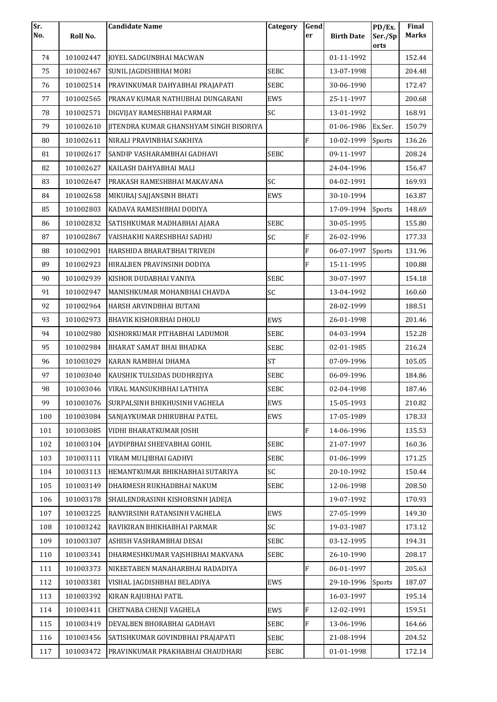| Sr. |           | <b>Candidate Name</b>                          | Category    | Gend           |                   | PD/Ex.          | Final        |
|-----|-----------|------------------------------------------------|-------------|----------------|-------------------|-----------------|--------------|
| No. | Roll No.  |                                                |             | er             | <b>Birth Date</b> | Ser./Sp<br>orts | <b>Marks</b> |
| 74  | 101002447 | <b>JOYEL SADGUNBHAI MACWAN</b>                 |             |                | 01-11-1992        |                 | 152.44       |
| 75  | 101002467 | SUNIL JAGDISHBHAI MORI                         | <b>SEBC</b> |                | 13-07-1998        |                 | 204.48       |
| 76  | 101002514 | PRAVINKUMAR DAHYABHAI PRAJAPATI                | <b>SEBC</b> |                | 30-06-1990        |                 | 172.47       |
| 77  | 101002565 | PRANAV KUMAR NATHUBHAI DUNGARANI               | EWS         |                | 25-11-1997        |                 | 200.68       |
| 78  | 101002571 | DIGVIJAY RAMESHBHAI PARMAR                     | SC          |                | 13-01-1992        |                 | 168.91       |
| 79  | 101002610 | <b>IITENDRA KUMAR GHANSHYAM SINGH BISORIYA</b> |             |                | 01-06-1986        | Ex.Ser.         | 150.79       |
| 80  | 101002611 | NIRALI PRAVINBHAI SAKHIYA                      |             | $\rm F$        | 10-02-1999        | Sports          | 136.26       |
| 81  | 101002617 | SANDIP VASHARAMBHAI GADHAVI                    | <b>SEBC</b> |                | 09-11-1997        |                 | 208.24       |
| 82  | 101002627 | KAILASH DAHYABHAI MALI                         |             |                | 24-04-1996        |                 | 156.47       |
| 83  | 101002647 | PRAKASH RAMESHBHAI MAKAVANA                    | SC          |                | 04-02-1991        |                 | 169.93       |
| 84  | 101002658 | MIKURAJ SAJJANSINH BHATI                       | EWS         |                | 30-10-1994        |                 | 163.87       |
| 85  | 101002803 | KADAVA RAMESHBHAI DODIYA                       |             |                | 17-09-1994        | Sports          | 148.69       |
| 86  | 101002832 | SATISHKUMAR MADHABHAI AJARA                    | <b>SEBC</b> |                | 30-05-1995        |                 | 155.80       |
| 87  | 101002867 | VAISHAKHI NARESHBHAI SADHU                     | SC          | $\overline{F}$ | 26-02-1996        |                 | 177.33       |
| 88  | 101002901 | HARSHIDA BHARATBHAI TRIVEDI                    |             | $\rm F$        | 06-07-1997        | Sports          | 131.96       |
| 89  | 101002923 | HIRALBEN PRAVINSINH DODIYA                     |             | F              | 15-11-1995        |                 | 100.88       |
| 90  | 101002939 | KISHOR DUDABHAI VANIYA                         | <b>SEBC</b> |                | 30-07-1997        |                 | 154.18       |
| 91  | 101002947 | MANISHKUMAR MOHANBHAI CHAVDA                   | SC          |                | 13-04-1992        |                 | 160.60       |
| 92  | 101002964 | HARSH ARVINDBHAI BUTANI                        |             |                | 28-02-1999        |                 | 188.51       |
| 93  | 101002973 | BHAVIK KISHORBHAI DHOLU                        | EWS         |                | 26-01-1998        |                 | 201.46       |
| 94  | 101002980 | KISHORKUMAR PITHABHAI LADUMOR                  | <b>SEBC</b> |                | 04-03-1994        |                 | 152.28       |
| 95  | 101002984 | BHARAT SAMAT BHAI BHADKA                       | <b>SEBC</b> |                | 02-01-1985        |                 | 216.24       |
| 96  | 101003029 | KARAN RAMBHAI DHAMA                            | <b>ST</b>   |                | 07-09-1996        |                 | 105.05       |
| 97  | 101003040 | KAUSHIK TULSIDAS DUDHREJIYA                    | <b>SEBC</b> |                | 06-09-1996        |                 | 184.86       |
| 98  | 101003046 | VIRAL MANSUKHBHAI LATHIYA                      | <b>SEBC</b> |                | 02-04-1998        |                 | 187.46       |
| 99  | 101003076 | SURPALSINH BHIKHUSINH VAGHELA                  | EWS         |                | 15-05-1993        |                 | 210.82       |
| 100 | 101003084 | SANJAYKUMAR DHIRUBHAI PATEL                    | EWS         |                | 17-05-1989        |                 | 178.33       |
| 101 | 101003085 | VIDHI BHARATKUMAR JOSHI                        |             | $\rm F$        | 14-06-1996        |                 | 135.53       |
| 102 | 101003104 | JAYDIPBHAI SHEEVABHAI GOHIL                    | <b>SEBC</b> |                | 21-07-1997        |                 | 160.36       |
| 103 | 101003111 | VIRAM MULJIBHAI GADHVI                         | <b>SEBC</b> |                | 01-06-1999        |                 | 171.25       |
| 104 | 101003113 | HEMANTKUMAR BHIKHABHAI SUTARIYA                | SC          |                | 20-10-1992        |                 | 150.44       |
| 105 | 101003149 | DHARMESH RUKHADBHAI NAKUM                      | <b>SEBC</b> |                | 12-06-1998        |                 | 208.50       |
| 106 | 101003178 | SHAILENDRASINH KISHORSINH JADEJA               |             |                | 19-07-1992        |                 | 170.93       |
| 107 | 101003225 | RANVIRSINH RATANSINH VAGHELA                   | EWS         |                | 27-05-1999        |                 | 149.30       |
| 108 | 101003242 | RAVIKIRAN BHIKHABHAI PARMAR                    | SC          |                | 19-03-1987        |                 | 173.12       |
| 109 | 101003307 | ASHISH VASHRAMBHAI DESAI                       | <b>SEBC</b> |                | 03-12-1995        |                 | 194.31       |
| 110 | 101003341 | DHARMESHKUMAR VAJSHIBHAI MAKVANA               | <b>SEBC</b> |                | 26-10-1990        |                 | 208.17       |
| 111 | 101003373 | NIKEETABEN MANAHARBHAI RADADIYA                |             | $\rm F$        | 06-01-1997        |                 | 205.63       |
| 112 | 101003381 | VISHAL JAGDISHBHAI BELADIYA                    | EWS         |                | 29-10-1996        | Sports          | 187.07       |
| 113 | 101003392 | KIRAN RAJUBHAI PATIL                           |             |                | 16-03-1997        |                 | 195.14       |
| 114 | 101003411 | CHETNABA CHENJI VAGHELA                        | EWS         | $\rm F$        | 12-02-1991        |                 | 159.51       |
| 115 | 101003419 | DEVALBEN BHORABHAI GADHAVI                     | <b>SEBC</b> | $\rm F$        | 13-06-1996        |                 | 164.66       |
| 116 | 101003456 | SATISHKUMAR GOVINDBHAI PRAJAPATI               | SEBC        |                | 21-08-1994        |                 | 204.52       |
| 117 | 101003472 | PRAVINKUMAR PRAKHABHAI CHAUDHARI               | <b>SEBC</b> |                | 01-01-1998        |                 | 172.14       |